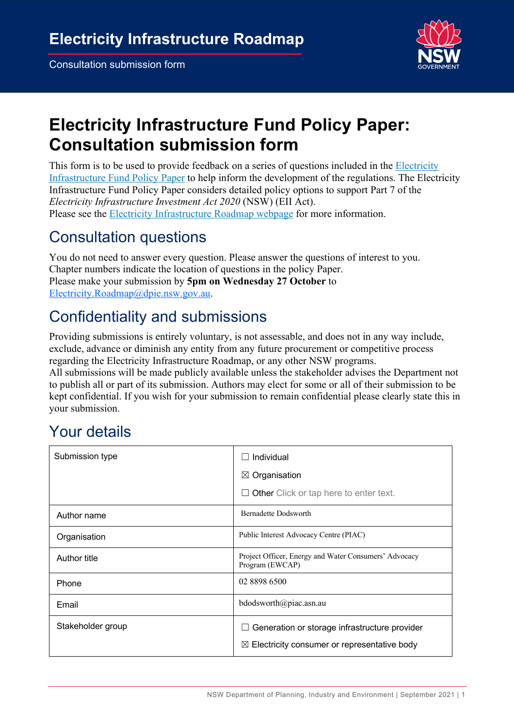

# **Electricity Infrastructure Fund Policy Paper: Consultation submission form**

This form is to be used to provide feedback on a series of questions included in the Electricity Infrastructure Fund Policy Paper to help inform the development of the regulations. The Electricity Infrastructure Fund Policy Paper considers detailed policy options to support Part 7 of the *Electricity Infrastructure Investment Act 2020* (NSW) (EII Act). Please see the Electricity Infrastructure Roadmap webpage for more information.

### Consultation questions

You do not need to answer every question. Please answer the questions of interest to you. Chapter numbers indicate the location of questions in the policy Paper. Please make your submission by **5pm on Wednesday 27 October** to Electricity.Roadmap@dpie.nsw.gov.au.

## Confidentiality and submissions

Providing submissions is entirely voluntary, is not assessable, and does not in any way include, exclude, advance or diminish any entity from any future procurement or competitive process regarding the Electricity Infrastructure Roadmap, or any other NSW programs.

All submissions will be made publicly available unless the stakeholder advises the Department not to publish all or part of its submission. Authors may elect for some or all of their submission to be kept confidential. If you wish for your submission to remain confidential please clearly state this in your submission.

## Your details

| Submission type   | Individual<br>$\mathsf{L}$                                                                                       |
|-------------------|------------------------------------------------------------------------------------------------------------------|
|                   | $\boxtimes$ Organisation                                                                                         |
|                   | $\Box$ Other Click or tap here to enter text.                                                                    |
| Author name       | <b>Bernadette Dodsworth</b>                                                                                      |
| Organisation      | Public Interest Advocacy Centre (PIAC)                                                                           |
| Author title      | Project Officer, Energy and Water Consumers' Advocacy<br>Program (EWCAP)                                         |
| Phone             | 02 8898 6500                                                                                                     |
| Email             | bdodsworth@piac.asn.au                                                                                           |
| Stakeholder group | Generation or storage infrastructure provider<br>ப<br>Electricity consumer or representative body<br>$\boxtimes$ |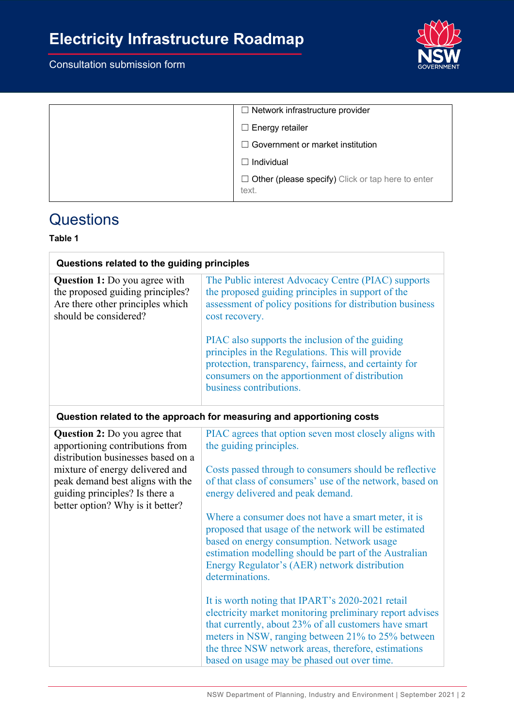# **Electricity Infrastructure Roadmap**

### Consultation submission form



| $\Box$ Network infrastructure provider                            |
|-------------------------------------------------------------------|
| $\Box$ Energy retailer                                            |
| $\Box$ Government or market institution                           |
| $\Box$ Individual                                                 |
| $\Box$ Other (please specify) Click or tap here to enter<br>text. |

### **Questions**

#### **Table 1**

| Questions related to the guiding principles                                                                                                                                                                                                                |                                                                                                                                                                                                                                                                                                                                                                                                                                                                                                                                                                                                                                                        |
|------------------------------------------------------------------------------------------------------------------------------------------------------------------------------------------------------------------------------------------------------------|--------------------------------------------------------------------------------------------------------------------------------------------------------------------------------------------------------------------------------------------------------------------------------------------------------------------------------------------------------------------------------------------------------------------------------------------------------------------------------------------------------------------------------------------------------------------------------------------------------------------------------------------------------|
| <b>Question 1:</b> Do you agree with<br>the proposed guiding principles?<br>Are there other principles which<br>should be considered?                                                                                                                      | The Public interest Advocacy Centre (PIAC) supports<br>the proposed guiding principles in support of the<br>assessment of policy positions for distribution business<br>cost recovery.                                                                                                                                                                                                                                                                                                                                                                                                                                                                 |
|                                                                                                                                                                                                                                                            | PIAC also supports the inclusion of the guiding<br>principles in the Regulations. This will provide<br>protection, transparency, fairness, and certainty for<br>consumers on the apportionment of distribution<br>business contributions.                                                                                                                                                                                                                                                                                                                                                                                                              |
|                                                                                                                                                                                                                                                            | Question related to the approach for measuring and apportioning costs                                                                                                                                                                                                                                                                                                                                                                                                                                                                                                                                                                                  |
| <b>Question 2:</b> Do you agree that<br>apportioning contributions from<br>distribution businesses based on a<br>mixture of energy delivered and<br>peak demand best aligns with the<br>guiding principles? Is there a<br>better option? Why is it better? | PIAC agrees that option seven most closely aligns with<br>the guiding principles.<br>Costs passed through to consumers should be reflective<br>of that class of consumers' use of the network, based on<br>energy delivered and peak demand.<br>Where a consumer does not have a smart meter, it is<br>proposed that usage of the network will be estimated<br>based on energy consumption. Network usage<br>estimation modelling should be part of the Australian<br>Energy Regulator's (AER) network distribution<br>determinations.<br>It is worth noting that IPART's 2020-2021 retail<br>electricity market monitoring preliminary report advises |
|                                                                                                                                                                                                                                                            | that currently, about 23% of all customers have smart<br>meters in NSW, ranging between 21% to 25% between<br>the three NSW network areas, therefore, estimations<br>based on usage may be phased out over time.                                                                                                                                                                                                                                                                                                                                                                                                                                       |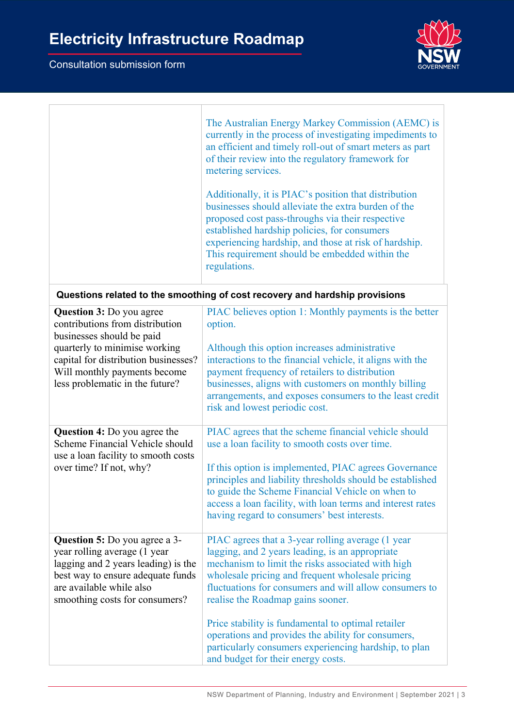

|                                                                                                                                                                                                                                             | The Australian Energy Markey Commission (AEMC) is<br>currently in the process of investigating impediments to<br>an efficient and timely roll-out of smart meters as part<br>of their review into the regulatory framework for<br>metering services.<br>Additionally, it is PIAC's position that distribution<br>businesses should alleviate the extra burden of the<br>proposed cost pass-throughs via their respective<br>established hardship policies, for consumers<br>experiencing hardship, and those at risk of hardship.<br>This requirement should be embedded within the<br>regulations. |  |
|---------------------------------------------------------------------------------------------------------------------------------------------------------------------------------------------------------------------------------------------|-----------------------------------------------------------------------------------------------------------------------------------------------------------------------------------------------------------------------------------------------------------------------------------------------------------------------------------------------------------------------------------------------------------------------------------------------------------------------------------------------------------------------------------------------------------------------------------------------------|--|
| Questions related to the smoothing of cost recovery and hardship provisions                                                                                                                                                                 |                                                                                                                                                                                                                                                                                                                                                                                                                                                                                                                                                                                                     |  |
| <b>Question 3:</b> Do you agree<br>contributions from distribution<br>businesses should be paid<br>quarterly to minimise working<br>capital for distribution businesses?<br>Will monthly payments become<br>less problematic in the future? | PIAC believes option 1: Monthly payments is the better<br>option.<br>Although this option increases administrative<br>interactions to the financial vehicle, it aligns with the<br>payment frequency of retailers to distribution<br>businesses, aligns with customers on monthly billing<br>arrangements, and exposes consumers to the least credit<br>risk and lowest periodic cost.                                                                                                                                                                                                              |  |
| <b>Question 4:</b> Do you agree the<br>Scheme Financial Vehicle should<br>use a loan facility to smooth costs<br>over time? If not, why?                                                                                                    | PIAC agrees that the scheme financial vehicle should<br>use a loan facility to smooth costs over time.<br>If this option is implemented, PIAC agrees Governance<br>principles and liability thresholds should be established<br>to guide the Scheme Financial Vehicle on when to<br>access a loan facility, with loan terms and interest rates<br>having regard to consumers' best interests.                                                                                                                                                                                                       |  |
| <b>Question 5:</b> Do you agree a 3-<br>year rolling average (1 year<br>lagging and 2 years leading) is the<br>best way to ensure adequate funds<br>are available while also<br>smoothing costs for consumers?                              | PIAC agrees that a 3-year rolling average (1 year<br>lagging, and 2 years leading, is an appropriate<br>mechanism to limit the risks associated with high<br>wholesale pricing and frequent wholesale pricing<br>fluctuations for consumers and will allow consumers to<br>realise the Roadmap gains sooner.<br>Price stability is fundamental to optimal retailer<br>operations and provides the ability for consumers,<br>particularly consumers experiencing hardship, to plan<br>and budget for their energy costs.                                                                             |  |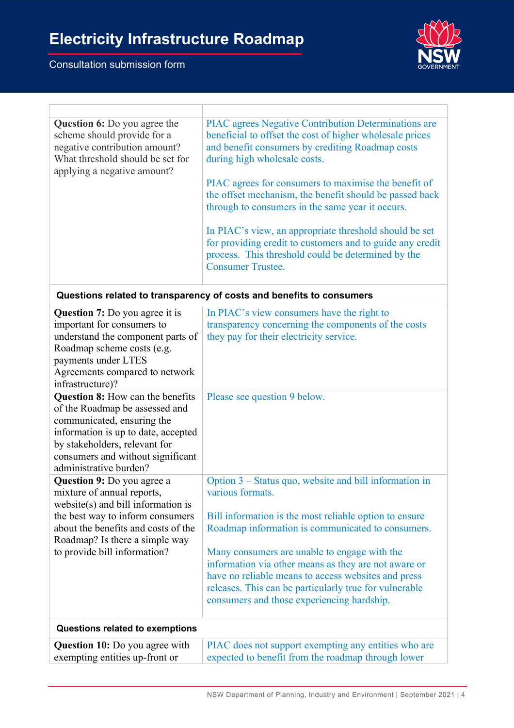

| <b>Question 6:</b> Do you agree the<br>scheme should provide for a<br>negative contribution amount?<br>What threshold should be set for<br>applying a negative amount? | PIAC agrees Negative Contribution Determinations are<br>beneficial to offset the cost of higher wholesale prices<br>and benefit consumers by crediting Roadmap costs<br>during high wholesale costs.  |
|------------------------------------------------------------------------------------------------------------------------------------------------------------------------|-------------------------------------------------------------------------------------------------------------------------------------------------------------------------------------------------------|
|                                                                                                                                                                        | PIAC agrees for consumers to maximise the benefit of<br>the offset mechanism, the benefit should be passed back<br>through to consumers in the same year it occurs.                                   |
|                                                                                                                                                                        | In PIAC's view, an appropriate threshold should be set<br>for providing credit to customers and to guide any credit<br>process. This threshold could be determined by the<br><b>Consumer Trustee.</b> |

| Questions related to transparency of costs and benefits to consumers |  |  |
|----------------------------------------------------------------------|--|--|
|----------------------------------------------------------------------|--|--|

| Question 7: Do you agree it is<br>important for consumers to<br>understand the component parts of<br>Roadmap scheme costs (e.g.<br>payments under LTES<br>Agreements compared to network                                                             | In PIAC's view consumers have the right to<br>transparency concerning the components of the costs<br>they pay for their electricity service.                                                                                                                                                                                                                                                                                                                     |
|------------------------------------------------------------------------------------------------------------------------------------------------------------------------------------------------------------------------------------------------------|------------------------------------------------------------------------------------------------------------------------------------------------------------------------------------------------------------------------------------------------------------------------------------------------------------------------------------------------------------------------------------------------------------------------------------------------------------------|
| infrastructure)?                                                                                                                                                                                                                                     |                                                                                                                                                                                                                                                                                                                                                                                                                                                                  |
| Question 8: How can the benefits<br>of the Roadmap be assessed and<br>communicated, ensuring the<br>information is up to date, accepted<br>by stakeholders, relevant for<br>consumers and without significant<br>administrative burden?              | Please see question 9 below.                                                                                                                                                                                                                                                                                                                                                                                                                                     |
| <b>Question 9:</b> Do you agree a<br>mixture of annual reports,<br>$website(s)$ and bill information is<br>the best way to inform consumers<br>about the benefits and costs of the<br>Roadmap? Is there a simple way<br>to provide bill information? | Option 3 – Status quo, website and bill information in<br>various formats.<br>Bill information is the most reliable option to ensure<br>Roadmap information is communicated to consumers.<br>Many consumers are unable to engage with the<br>information via other means as they are not aware or<br>have no reliable means to access websites and press<br>releases. This can be particularly true for vulnerable<br>consumers and those experiencing hardship. |
| Questions related to exemptions                                                                                                                                                                                                                      |                                                                                                                                                                                                                                                                                                                                                                                                                                                                  |
| <b>Question 10:</b> Do you agree with<br>exempting entities up-front or                                                                                                                                                                              | PIAC does not support exempting any entities who are<br>expected to benefit from the roadmap through lower                                                                                                                                                                                                                                                                                                                                                       |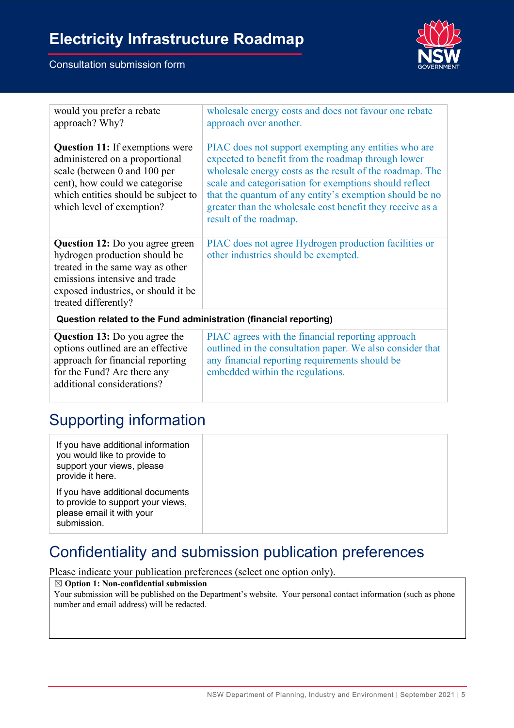

| would you prefer a rebate<br>approach? Why?                                                                                                                                                                    | wholesale energy costs and does not favour one rebate<br>approach over another.                                                                                                                                                                                                                                                                                                    |
|----------------------------------------------------------------------------------------------------------------------------------------------------------------------------------------------------------------|------------------------------------------------------------------------------------------------------------------------------------------------------------------------------------------------------------------------------------------------------------------------------------------------------------------------------------------------------------------------------------|
| <b>Question 11:</b> If exemptions were<br>administered on a proportional<br>scale (between 0 and 100 per<br>cent), how could we categorise<br>which entities should be subject to<br>which level of exemption? | PIAC does not support exempting any entities who are<br>expected to benefit from the roadmap through lower<br>wholesale energy costs as the result of the roadmap. The<br>scale and categorisation for exemptions should reflect<br>that the quantum of any entity's exemption should be no<br>greater than the wholesale cost benefit they receive as a<br>result of the roadmap. |
| <b>Question 12:</b> Do you agree green<br>hydrogen production should be<br>treated in the same way as other<br>emissions intensive and trade<br>exposed industries, or should it be<br>treated differently?    | PIAC does not agree Hydrogen production facilities or<br>other industries should be exempted.                                                                                                                                                                                                                                                                                      |
| Question related to the Fund administration (financial reporting)                                                                                                                                              |                                                                                                                                                                                                                                                                                                                                                                                    |
| <b>Question 13:</b> Do you agree the<br>options outlined are an effective<br>approach for financial reporting<br>for the Fund? Are there any<br>additional considerations?                                     | PIAC agrees with the financial reporting approach<br>outlined in the consultation paper. We also consider that<br>any financial reporting requirements should be<br>embedded within the regulations.                                                                                                                                                                               |

### Supporting information

## Confidentiality and submission publication preferences

Please indicate your publication preferences (select one option only).

#### ☒ **Option 1: Non-confidential submission**

Your submission will be published on the Department's website. Your personal contact information (such as phone number and email address) will be redacted.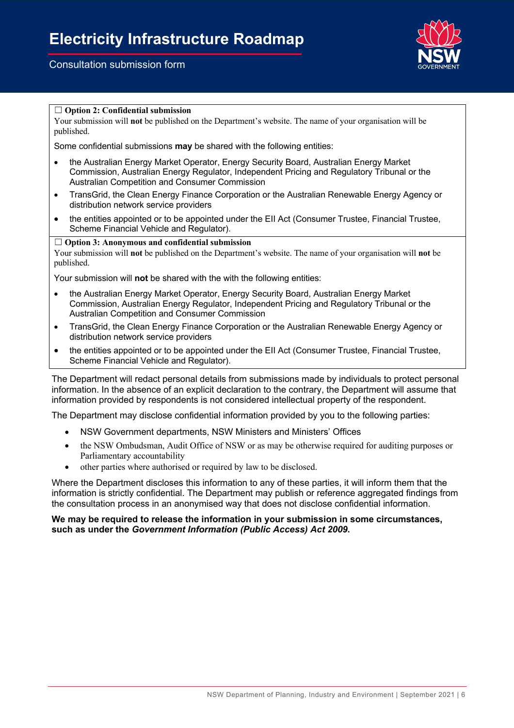

#### ☐ **Option 2: Confidential submission**

Your submission will **not** be published on the Department's website. The name of your organisation will be published.

Some confidential submissions **may** be shared with the following entities:

- the Australian Energy Market Operator, Energy Security Board, Australian Energy Market Commission, Australian Energy Regulator, Independent Pricing and Regulatory Tribunal or the Australian Competition and Consumer Commission
- TransGrid, the Clean Energy Finance Corporation or the Australian Renewable Energy Agency or distribution network service providers
- the entities appointed or to be appointed under the EII Act (Consumer Trustee, Financial Trustee, Scheme Financial Vehicle and Regulator).

#### ☐ **Option 3: Anonymous and confidential submission**

Your submission will **not** be published on the Department's website. The name of your organisation will **not** be published.

Your submission will **not** be shared with the with the following entities:

- the Australian Energy Market Operator, Energy Security Board, Australian Energy Market Commission, Australian Energy Regulator, Independent Pricing and Regulatory Tribunal or the Australian Competition and Consumer Commission
- TransGrid, the Clean Energy Finance Corporation or the Australian Renewable Energy Agency or distribution network service providers
- the entities appointed or to be appointed under the EII Act (Consumer Trustee, Financial Trustee, Scheme Financial Vehicle and Regulator).

The Department will redact personal details from submissions made by individuals to protect personal information. In the absence of an explicit declaration to the contrary, the Department will assume that information provided by respondents is not considered intellectual property of the respondent.

The Department may disclose confidential information provided by you to the following parties:

- NSW Government departments, NSW Ministers and Ministers' Offices
- the NSW Ombudsman, Audit Office of NSW or as may be otherwise required for auditing purposes or Parliamentary accountability
- other parties where authorised or required by law to be disclosed.

Where the Department discloses this information to any of these parties, it will inform them that the information is strictly confidential. The Department may publish or reference aggregated findings from the consultation process in an anonymised way that does not disclose confidential information.

#### **We may be required to release the information in your submission in some circumstances, such as under the** *Government Information (Public Access) Act 2009***.**